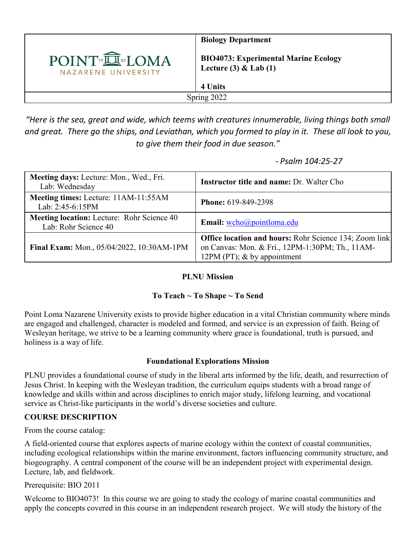

*"Here is the sea, great and wide, which teems with creatures innumerable, living things both small and great. There go the ships, and Leviathan, which you formed to play in it. These all look to you, to give them their food in due season."*

 *- Psalm 104:25-27*

| Meeting days: Lecture: Mon., Wed., Fri.<br>Lab: Wednesday                 | Instructor title and name: Dr. Walter Cho                                                                                                         |
|---------------------------------------------------------------------------|---------------------------------------------------------------------------------------------------------------------------------------------------|
| Meeting times: Lecture: 11AM-11:55AM<br>Lab: 2:45-6:15PM                  | <b>Phone: 619-849-2398</b>                                                                                                                        |
| <b>Meeting location:</b> Lecture: Rohr Science 40<br>Lab: Rohr Science 40 | Email: wcho@pointloma.edu                                                                                                                         |
| Final Exam: Mon., 05/04/2022, 10:30AM-1PM                                 | <b>Office location and hours:</b> Rohr Science 134; Zoom link<br>on Canvas: Mon. & Fri., 12PM-1:30PM; Th., 11AM-<br>12PM (PT); $&$ by appointment |

# **PLNU Mission**

# **To Teach ~ To Shape ~ To Send**

Point Loma Nazarene University exists to provide higher education in a vital Christian community where minds are engaged and challenged, character is modeled and formed, and service is an expression of faith. Being of Wesleyan heritage, we strive to be a learning community where grace is foundational, truth is pursued, and holiness is a way of life.

# **Foundational Explorations Mission**

PLNU provides a foundational course of study in the liberal arts informed by the life, death, and resurrection of Jesus Christ. In keeping with the Wesleyan tradition, the curriculum equips students with a broad range of knowledge and skills within and across disciplines to enrich major study, lifelong learning, and vocational service as Christ-like participants in the world's diverse societies and culture.

# **COURSE DESCRIPTION**

From the course catalog:

A field-oriented course that explores aspects of marine ecology within the context of coastal communities, including ecological relationships within the marine environment, factors influencing community structure, and biogeography. A central component of the course will be an independent project with experimental design. Lecture, lab, and fieldwork.

Prerequisite: BIO 2011

Welcome to BIO4073! In this course we are going to study the ecology of marine coastal communities and apply the concepts covered in this course in an independent research project. We will study the history of the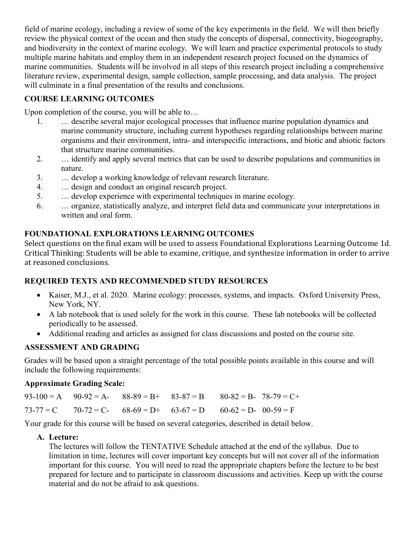field of marine ecology, including a review of some of the key experiments in the field. We will then briefly review the physical context of the ocean and then study the concepts of dispersal, connectivity, biogeography, and biodiversity in the context of marine ecology. We will learn and practice experimental protocols to study multiple marine habitats and employ them in an independent research project focused on the dynamics of marine communities. Students will be involved in all steps of this research project including a comprehensive literature review, experimental design, sample collection, sample processing, and data analysis. The project will culminate in a final presentation of the results and conclusions.

# **COURSE LEARNING OUTCOMES**

Upon completion of the course, you will be able to…

- 1. … describe several major ecological processes that influence marine population dynamics and marine community structure, including current hypotheses regarding relationships between marine organisms and their environment, intra- and interspecific interactions, and biotic and abiotic factors that structure marine communities.
- 2. … identify and apply several metrics that can be used to describe populations and communities in nature.
- 3. … develop a working knowledge of relevant research literature.
- 4. … design and conduct an original research project.
- 5. … develop experience with experimental techniques in marine ecology.
- 6. … organize, statistically analyze, and interpret field data and communicate your interpretations in written and oral form.

**FOUNDATIONAL EXPLORATIONS LEARNING OUTCOMES**<br>Select questions on the final exam will be used to assess Foundational Explorations Learning Outcome 1d. Critical Thinking: Students will be able to examine, critique, and synthesize information in order to arrive at reasoned conclusions.

# **REQUIRED TEXTS AND RECOMMENDED STUDY RESOURCES**

- Kaiser, M.J., et al. 2020. Marine ecology: processes, systems, and impacts. Oxford University Press, New York, NY.
- A lab notebook that is used solely for the work in this course. These lab notebooks will be collected periodically to be assessed.
- Additional reading and articles as assigned for class discussions and posted on the course site.

# **ASSESSMENT AND GRADING**

Grades will be based upon a straight percentage of the total possible points available in this course and will include the following requirements:

#### **Approximate Grading Scale:**

|  | $93-100 = A$ $90-92 = A$ - $88-89 = B$ + $83-87 = B$ $80-82 = B$ - $78-79 = C$ + |  |  |
|--|----------------------------------------------------------------------------------|--|--|
|  | $73-77 = C$ $70-72 = C$ - $68-69 = D$ + $63-67 = D$ $60-62 = D$ - $00-59 = F$    |  |  |

Your grade for this course will be based on several categories, described in detail below.

#### **A. Lecture:**

The lectures will follow the TENTATIVE Schedule attached at the end of the syllabus. Due to limitation in time, lectures will cover important key concepts but will not cover all of the information important for this course. You will need to read the appropriate chapters before the lecture to be best prepared for lecture and to participate in classroom discussions and activities. Keep up with the course material and do not be afraid to ask questions.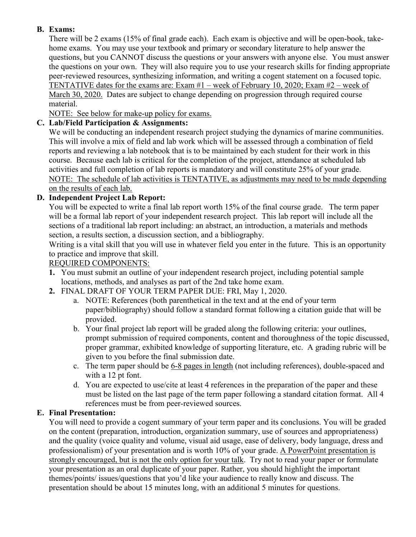# **B. Exams:**

There will be 2 exams (15% of final grade each). Each exam is objective and will be open-book, takehome exams. You may use your textbook and primary or secondary literature to help answer the questions, but you CANNOT discuss the questions or your answers with anyone else. You must answer the questions on your own. They will also require you to use your research skills for finding appropriate peer-reviewed resources, synthesizing information, and writing a cogent statement on a focused topic. TENTATIVE dates for the exams are: Exam #1 – week of February 10, 2020; Exam #2 – week of March 30, 2020. Dates are subject to change depending on progression through required course material.

NOTE: See below for make-up policy for exams.

### **C. Lab/Field Participation & Assignments:**

We will be conducting an independent research project studying the dynamics of marine communities. This will involve a mix of field and lab work which will be assessed through a combination of field reports and reviewing a lab notebook that is to be maintained by each student for their work in this course. Because each lab is critical for the completion of the project, attendance at scheduled lab activities and full completion of lab reports is mandatory and will constitute 25% of your grade. NOTE: The schedule of lab activities is TENTATIVE, as adjustments may need to be made depending on the results of each lab.

# **D. Independent Project Lab Report:**

You will be expected to write a final lab report worth 15% of the final course grade. The term paper will be a formal lab report of your independent research project. This lab report will include all the sections of a traditional lab report including: an abstract, an introduction, a materials and methods section, a results section, a discussion section, and a bibliography.

Writing is a vital skill that you will use in whatever field you enter in the future. This is an opportunity to practice and improve that skill.

#### REQUIRED COMPONENTS:

- **1.** You must submit an outline of your independent research project, including potential sample locations, methods, and analyses as part of the 2nd take home exam.
- **2.** FINAL DRAFT OF YOUR TERM PAPER DUE: FRI, May 1, 2020.
	- a. NOTE: References (both parenthetical in the text and at the end of your term paper/bibliography) should follow a standard format following a citation guide that will be provided.
	- b. Your final project lab report will be graded along the following criteria: your outlines, prompt submission of required components, content and thoroughness of the topic discussed, proper grammar, exhibited knowledge of supporting literature, etc. A grading rubric will be given to you before the final submission date.
	- c. The term paper should be 6-8 pages in length (not including references), double-spaced and with a 12 pt font.
	- d. You are expected to use/cite at least 4 references in the preparation of the paper and these must be listed on the last page of the term paper following a standard citation format. All 4 references must be from peer-reviewed sources.

#### **E. Final Presentation:**

You will need to provide a cogent summary of your term paper and its conclusions. You will be graded on the content (preparation, introduction, organization summary, use of sources and appropriateness) and the quality (voice quality and volume, visual aid usage, ease of delivery, body language, dress and professionalism) of your presentation and is worth 10% of your grade. A PowerPoint presentation is strongly encouraged, but is not the only option for your talk. Try not to read your paper or formulate your presentation as an oral duplicate of your paper. Rather, you should highlight the important themes/points/ issues/questions that you'd like your audience to really know and discuss. The presentation should be about 15 minutes long, with an additional 5 minutes for questions.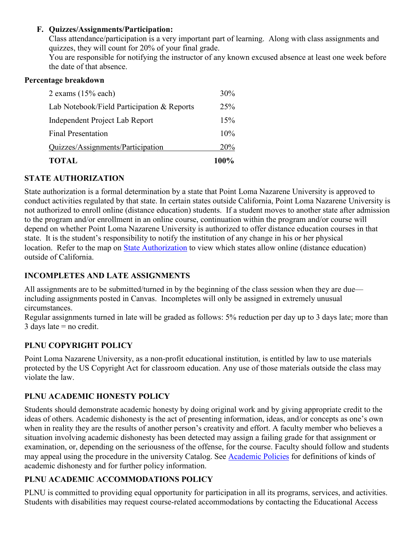#### **F. Quizzes/Assignments/Participation:**

Class attendance/participation is a very important part of learning. Along with class assignments and quizzes, they will count for 20% of your final grade.

You are responsible for notifying the instructor of any known excused absence at least one week before the date of that absence.

#### **Percentage breakdown**

| <b>TOTAL</b>                               | 100%       |
|--------------------------------------------|------------|
| Quizzes/Assignments/Participation          | <b>20%</b> |
| <b>Final Presentation</b>                  | 10%        |
| Independent Project Lab Report             | 15%        |
| Lab Notebook/Field Participation & Reports | 25%        |
| 2 exams $(15%$ each)                       | 30%        |

### **STATE AUTHORIZATION**

State authorization is a formal determination by a state that Point Loma Nazarene University is approved to conduct activities regulated by that state. In certain states outside California, Point Loma Nazarene University is not authorized to enroll online (distance education) students. If a student moves to another state after admission to the program and/or enrollment in an online course, continuation within the program and/or course will depend on whether Point Loma Nazarene University is authorized to offer distance education courses in that state. It is the student's responsibility to notify the institution of any change in his or her physical location. Refer to the map on [State Authorization](https://www.pointloma.edu/offices/office-institutional-effectiveness-research/disclosures) to view which states allow online (distance education) outside of California.

# **INCOMPLETES AND LATE ASSIGNMENTS**

All assignments are to be submitted/turned in by the beginning of the class session when they are due including assignments posted in Canvas. Incompletes will only be assigned in extremely unusual circumstances.

Regular assignments turned in late will be graded as follows: 5% reduction per day up to 3 days late; more than  $3$  days late = no credit.

# **PLNU COPYRIGHT POLICY**

Point Loma Nazarene University, as a non-profit educational institution, is entitled by law to use materials protected by the US Copyright Act for classroom education. Any use of those materials outside the class may violate the law.

# **PLNU ACADEMIC HONESTY POLICY**

Students should demonstrate academic honesty by doing original work and by giving appropriate credit to the ideas of others. Academic dishonesty is the act of presenting information, ideas, and/or concepts as one's own when in reality they are the results of another person's creativity and effort. A faculty member who believes a situation involving academic dishonesty has been detected may assign a failing grade for that assignment or examination, or, depending on the seriousness of the offense, for the course. Faculty should follow and students may appeal using the procedure in the university Catalog. See [Academic Policies](https://catalog.pointloma.edu/content.php?catoid=52&navoid=2919#Academic_Honesty) for definitions of kinds of academic dishonesty and for further policy information.

# **PLNU ACADEMIC ACCOMMODATIONS POLICY**

PLNU is committed to providing equal opportunity for participation in all its programs, services, and activities. Students with disabilities may request course-related accommodations by contacting the Educational Access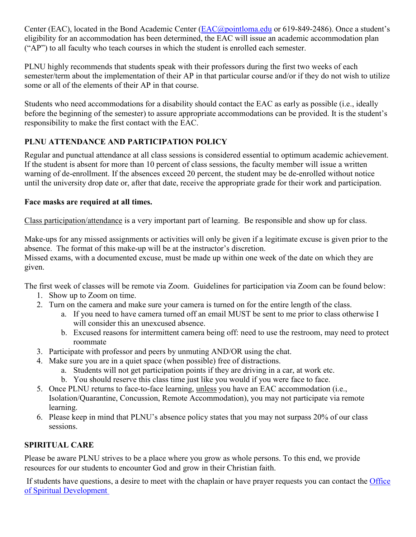Center (EAC), located in the Bond Academic Center [\(EAC@pointloma.edu](mailto:EAC@pointloma.edu) or 619-849-2486). Once a student's eligibility for an accommodation has been determined, the EAC will issue an academic accommodation plan ("AP") to all faculty who teach courses in which the student is enrolled each semester.

PLNU highly recommends that students speak with their professors during the first two weeks of each semester/term about the implementation of their AP in that particular course and/or if they do not wish to utilize some or all of the elements of their AP in that course.

Students who need accommodations for a disability should contact the EAC as early as possible (i.e., ideally before the beginning of the semester) to assure appropriate accommodations can be provided. It is the student's responsibility to make the first contact with the EAC.

# **PLNU ATTENDANCE AND PARTICIPATION POLICY**

Regular and punctual attendance at all class sessions is considered essential to optimum academic achievement. If the student is absent for more than 10 percent of class sessions, the faculty member will issue a written warning of de-enrollment. If the absences exceed 20 percent, the student may be de-enrolled without notice until the university drop date or, after that date, receive the appropriate grade for their work and participation.

# **Face masks are required at all times.**

Class participation/attendance is a very important part of learning. Be responsible and show up for class.

Make-ups for any missed assignments or activities will only be given if a legitimate excuse is given prior to the absence. The format of this make-up will be at the instructor's discretion.

Missed exams, with a documented excuse, must be made up within one week of the date on which they are given.

The first week of classes will be remote via Zoom. Guidelines for participation via Zoom can be found below:

- 1. Show up to Zoom on time.
- 2. Turn on the camera and make sure your camera is turned on for the entire length of the class.
	- a. If you need to have camera turned off an email MUST be sent to me prior to class otherwise I will consider this an unexcused absence.
	- b. Excused reasons for intermittent camera being off: need to use the restroom, may need to protect roommate
- 3. Participate with professor and peers by unmuting AND/OR using the chat.
- 4. Make sure you are in a quiet space (when possible) free of distractions.
	- a. Students will not get participation points if they are driving in a car, at work etc.
	- b. You should reserve this class time just like you would if you were face to face.
- 5. Once PLNU returns to face-to-face learning, unless you have an EAC accommodation (i.e., Isolation/Quarantine, Concussion, Remote Accommodation), you may not participate via remote learning.
- 6. Please keep in mind that PLNU's absence policy states that you may not surpass 20% of our class sessions.

# **SPIRITUAL CARE**

Please be aware PLNU strives to be a place where you grow as whole persons. To this end, we provide resources for our students to encounter God and grow in their Christian faith.

If students have questions, a desire to meet with the chaplain or have prayer requests you can contact the Office [of Spiritual Development](https://www.pointloma.edu/offices/spiritual-development)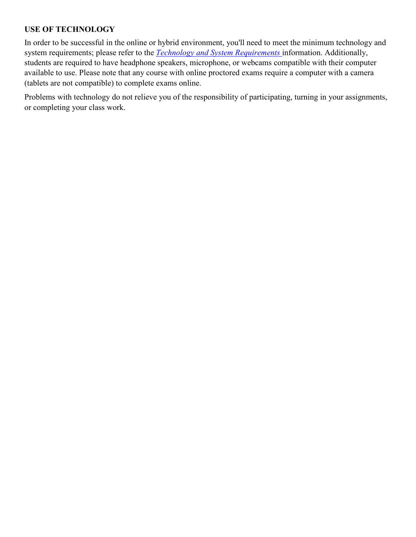# **USE OF TECHNOLOGY**

In order to be successful in the online or hybrid environment, you'll need to meet the minimum technology and system requirements; please refer to the *[Technology and System Requirements](https://help.pointloma.edu/TDClient/1808/Portal/KB/ArticleDet?ID=108349)* information. Additionally, students are required to have headphone speakers, microphone, or webcams compatible with their computer available to use. Please note that any course with online proctored exams require a computer with a camera (tablets are not compatible) to complete exams online.

Problems with technology do not relieve you of the responsibility of participating, turning in your assignments, or completing your class work.